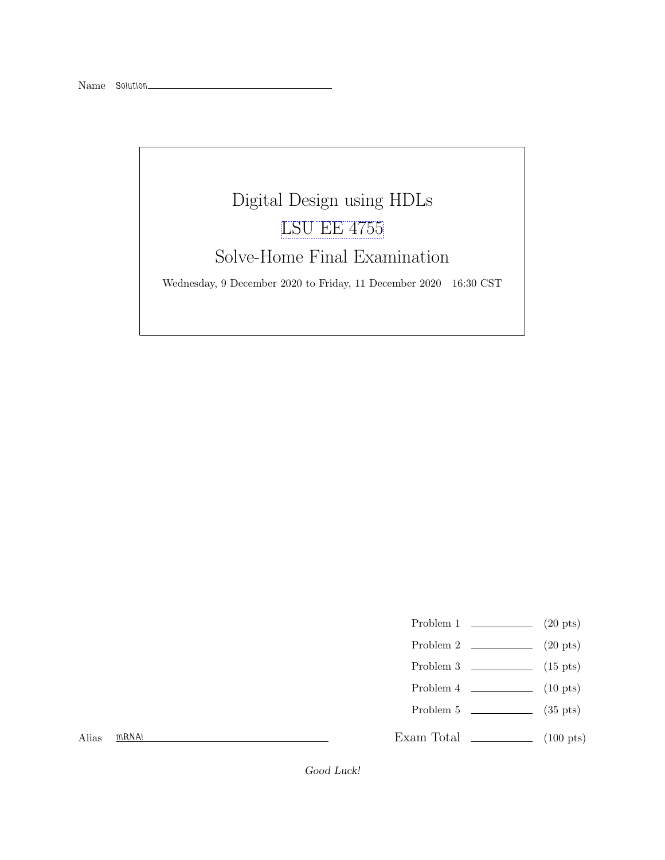# Digital Design using HDLs [LSU EE 4755](https://www.ece.lsu.edu/koppel/v/) Solve-Home Final Examination Wednesday, 9 December 2020 to Friday, 11 December 2020 16:30 CST

- Problem 1 (20 pts)
- Problem 2  $\qquad \qquad$  (20 pts)
- Problem 3 (15 pts)
- Problem 4  $\qquad \qquad$  (10 pts)
- Problem 5 (35 pts)

Alias mRNA!

Exam Total \_\_\_\_\_\_\_\_\_\_\_\_\_\_ (100 pts)

Good Luck!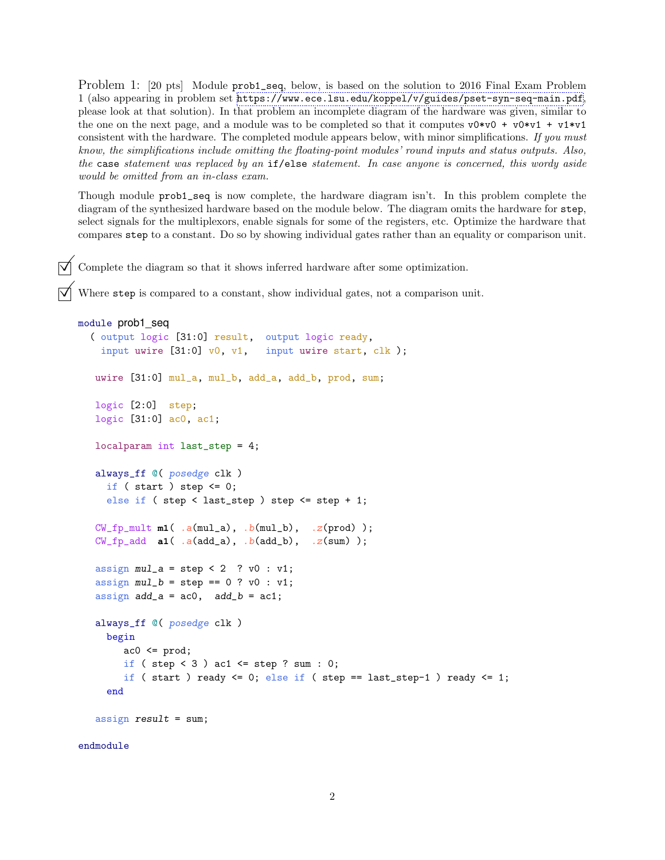Problem 1: [20 pts] Module prob1\_seq, below, is based on the solution to 2016 Final Exam Problem 1 (also appearing in problem set <https://www.ece.lsu.edu/koppel/v/guides/pset-syn-seq-main.pdf>, please look at that solution). In that problem an incomplete diagram of the hardware was given, similar to the one on the next page, and a module was to be completed so that it computes  $v0*v0 + v0*v1 + v1*v1$ consistent with the hardware. The completed module appears below, with minor simplifications. If you must know, the simplifications include omitting the floating-point modules' round inputs and status outputs. Also, the case statement was replaced by an if/else statement. In case anyone is concerned, this wordy aside would be omitted from an in-class exam.

Though module prob1\_seq is now complete, the hardware diagram isn't. In this problem complete the diagram of the synthesized hardware based on the module below. The diagram omits the hardware for step, select signals for the multiplexors, enable signals for some of the registers, etc. Optimize the hardware that compares step to a constant. Do so by showing individual gates rather than an equality or comparison unit.

 $\overrightarrow{\mathcal{A}}$  Complete the diagram so that it shows inferred hardware after some optimization.

 $\forall$  Where step is compared to a constant, show individual gates, not a comparison unit.

```
module prob1_seq
  ( output logic [31:0] result, output logic ready,
    input uwire [31:0] v0, v1, input uwire start, clk );
   uwire [31:0] mul_a, mul_b, add_a, add_b, prod, sum;
  logic [2:0] step;
  logic [31:0] ac0, ac1;
   localparam int last_step = 4;
   always_ff @( posedge clk )
     if ( start ) step \leq 0;
     else if ( step < last_step ) step <= step + 1;
   CW_f<sub>p_mult</sub> m1( .a(mul_a), .b(mul_b), .z(prod) );
   CW_f pad a1( .a(add_a), .b(add_b), .z(sum));
   assign mul_a = step < 2 ? v0 : v1;
   assign mul_b = step == 0 ? v0 : v1;
   assign add_a = ac0, add_b = ac1;
   always_ff @( posedge clk )
     begin
        ac0 \leq prod;if ( step \leq 3 ) ac1 \leq step ? sum : 0;
        if ( start ) ready \leq 0; else if ( step == last_step-1 ) ready \leq 1;
     end
   assign result = sum;endmodule
```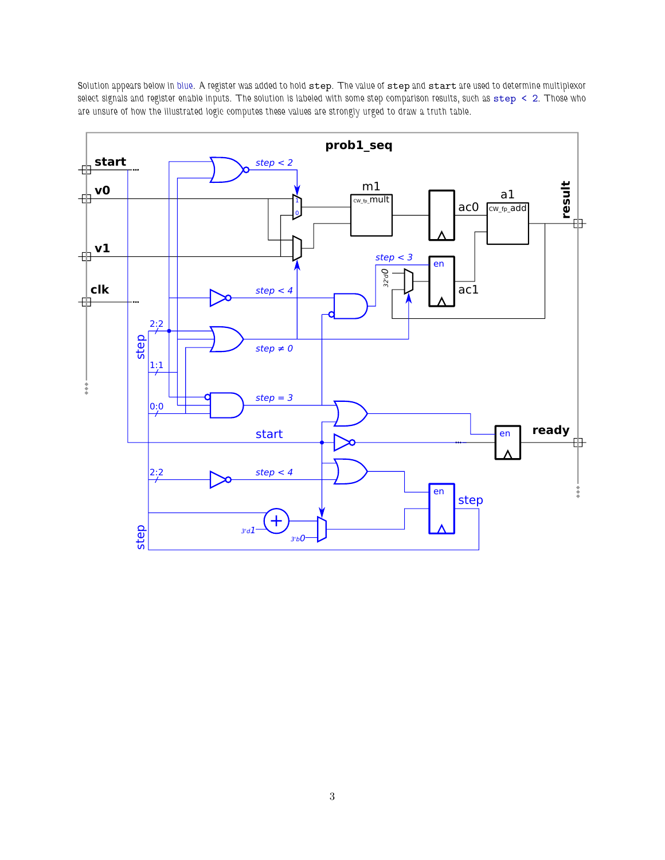Solution appears below in blue. A register was added to hold step. The value of step and start are used to determine multiplexor select signals and register enable inputs. The solution is labeled with some step comparison results, such as step < 2. Those who are unsure of how the illustrated logic computes these values are strongly urged to draw a truth table.

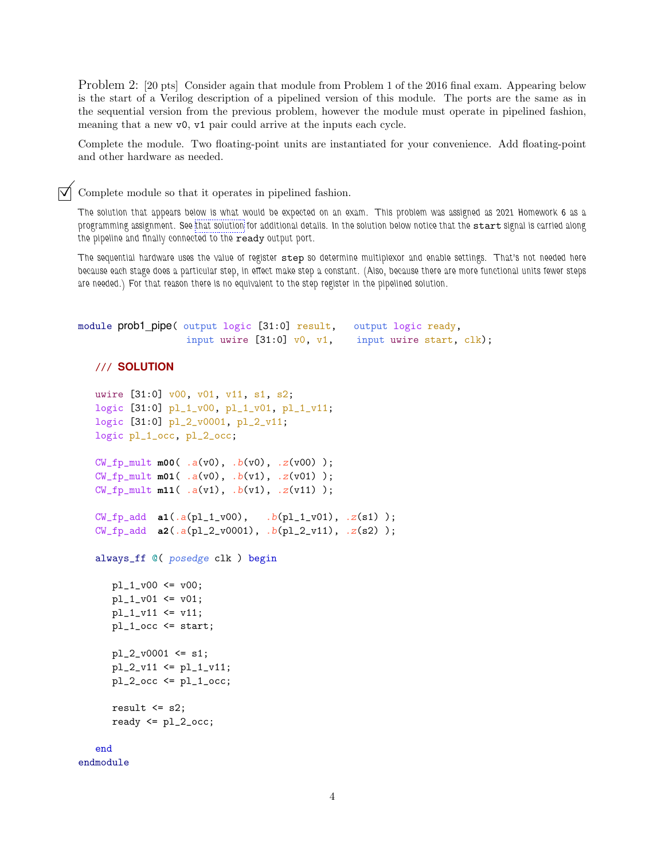Problem 2: [20 pts] Consider again that module from Problem 1 of the 2016 final exam. Appearing below is the start of a Verilog description of a pipelined version of this module. The ports are the same as in the sequential version from the previous problem, however the module must operate in pipelined fashion, meaning that a new v0, v1 pair could arrive at the inputs each cycle.

Complete the module. Two floating-point units are instantiated for your convenience. Add floating-point and other hardware as needed.

Complete module so that it operates in pipelined fashion.

The solution that appears below is what would be expected on an exam. This problem was assigned as 2021 Homework 6 as a programming assignment. See [that solution](https://www.ece.lsu.edu/koppel/v/2021/hw06-sol.v.html) for additional details. In the solution below notice that the start signal is carried along the pipeline and finally connected to the ready output port.

The sequential hardware uses the value of register step so determine multiplexor and enable settings. That's not needed here because each stage does a particular step, in effect make step a constant. (Also, because there are more functional units fewer steps are needed.) For that reason there is no equivalent to the step register in the pipelined solution.

```
module prob1_pipe( output logic [31:0] result, output logic ready,
                  input uwire [31:0] v0, v1, input uwire start, clk);
```
#### /// **SOLUTION**

```
uwire [31:0] v00, v01, v11, s1, s2;
logic [31:0] pl_1_v00, pl_1_v01, pl_1_v11;
logic [31:0] pl_2_v0001, pl_2_v11;
logic pl_1_occ, pl_2_occ;
CW_fp_mult m00( .a(v0), .b(v0), .z(v00) );
CW_fp_mult m01( .a(v0), .b(v1), .z(v01) );
CW_fp_mult m11( .a(v1), .b(v1), .z(v11));
CW_fp_add a1(.a(pl_1_v00), .b(pl_1_v01), .z(s1) );
CW_fp_add a2(.a(pl_2_v0001), .b(pl_2_v11), .z(s2) );
always_ff @( posedge clk ) begin
   p1_1_v00 \le v00;
   p1_1_v01 \leq v01;
   p1_1_v11 \leq v11;pl_1_occ <= start;
   p1_2_v0001 \leq s1;
   p1_2_v11 \leq pl_1_v1;pl_2_occ \leq pl_1_occ;
   result \leq s2;
   ready <= pl_2_occ;
end
```

```
endmodule
```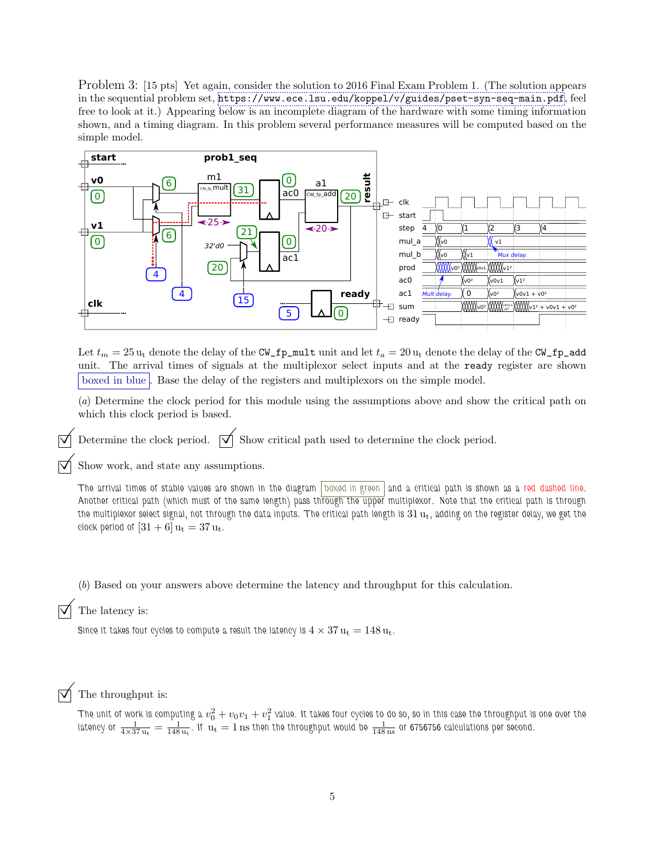Problem 3: [15 pts] Yet again, consider the solution to 2016 Final Exam Problem 1. (The solution appears in the sequential problem set, <https://www.ece.lsu.edu/koppel/v/guides/pset-syn-seq-main.pdf>, feel free to look at it.) Appearing below is an incomplete diagram of the hardware with some timing information shown, and a timing diagram. In this problem several performance measures will be computed based on the simple model.



Let  $t_m = 25 u_t$  denote the delay of the CW\_fp\_mult unit and let  $t_a = 20 u_t$  denote the delay of the CW\_fp\_add unit. The arrival times of signals at the multiplexor select inputs and at the ready register are shown boxed in blue. Base the delay of the registers and multiplexors on the simple model.

(a) Determine the clock period for this module using the assumptions above and show the critical path on which this clock period is based.

Determine the clock period.  $\overrightarrow{\mathsf{S}}$  Show critical path used to determine the clock period.

Show work, and state any assumptions.

The arrival times of stable values are shown in the diagram | boxed in green | and a critical path is shown as a red dashed line. Another critical path (which must of the same length) pass through the upper multiplexor. Note that the critical path is through the multiplexor select signal, not through the data inputs. The critical path length is  $31 u_t$ , adding on the register delay, we get the clock period of  $[31 + 6] u_t = 37 u_t$ .

(b) Based on your answers above determine the latency and throughput for this calculation.

 $\triangledown$  The latency is:

Since it takes four cycles to compute a result the latency is  $4 \times 37 u_t = 148 u_t$ .

The throughput is:

The unit of work is computing a  $v_0^2+v_0v_1+v_1^2$  value. It takes four cycles to do so, so in this case the throughput is one over the latency or  $\frac{1}{4\times37\,\mathrm{u_t}}=\frac{1}{148\,\mathrm{u_t}}$ . If  $\mathrm{u_t}=1\,\mathrm{ns}$  then the throughput would be  $\frac{1}{148\,\mathrm{ns}}$  or 6756756 calculations per second.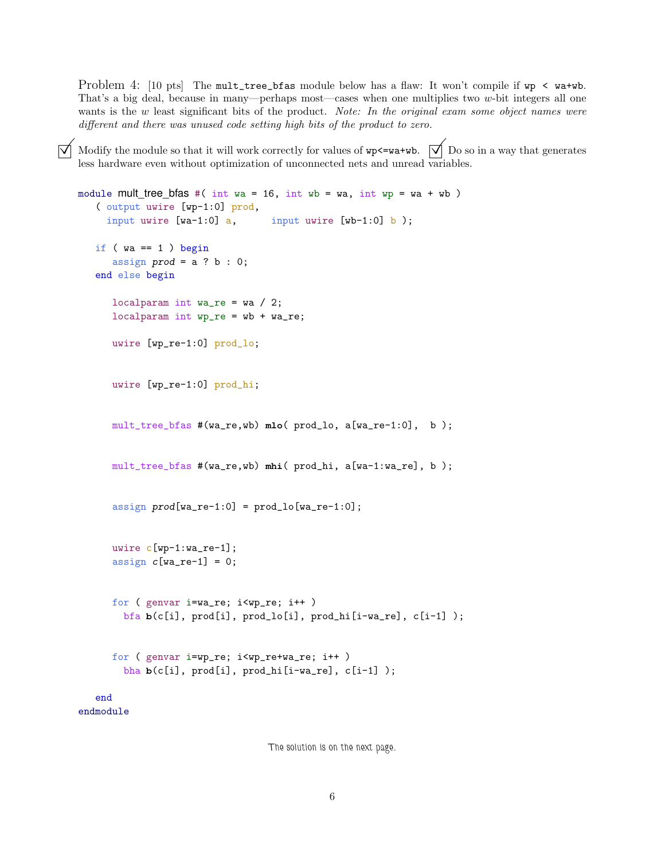Problem 4: [10 pts] The mult\_tree\_bfas module below has a flaw: It won't compile if  $wp < w$ a+wb. That's a big deal, because in many—perhaps most—cases when one multiplies two w-bit integers all one wants is the w least significant bits of the product. Note: In the original exam some object names were different and there was unused code setting high bits of the product to zero.

Modify the module so that it will work correctly for values of  $wp \leq w$ a+wb.  $\Box$  Do so in a way that generates less hardware even without optimization of unconnected nets and unread variables.

```
module mult_tree_bfas #( int wa = 16, int wb = wa, int wp = wa + wb)
   ( output uwire [wp-1:0] prod,
     input uwire [wa-1:0] a, input uwire [wb-1:0] b );
   if (wa == 1) begin
      assign prod = a ? b : 0;end else begin
     localparam int wa_re = wa / 2;
     localparam int wp_re = wb + wa_re;
     uwire [wp_re-1:0] prod_lo;
      uwire [wp_re-1:0] prod_hi;
     mult_tree_bfas #(wa_re,wb) mlo( prod_lo, a[wa_re-1:0], b );
     mult_tree_bfas #(wa_re,wb) mhi( prod_hi, a[wa-1:wa_re], b );
      assign prod(wa_re-1:0] = prod\_lo[wa_re-1:0];
      uwire c[wp-1:wa_re-1];
      assign c[wa_re-1] = 0;
     for ( genvar i=wa_re; i<wp_re; i++ )
       bfa b(c[i], prod[i], prod_lo[i], prod_hi[i-wa_re], c[i-1] );
     for ( genvar i=wp_re; i<wp_re+wa_re; i++ )
       bha b(c[i], prod[i], prod_hi[i-wa_re], c[i-1] );
   end
endmodule
```
The solution is on the next page.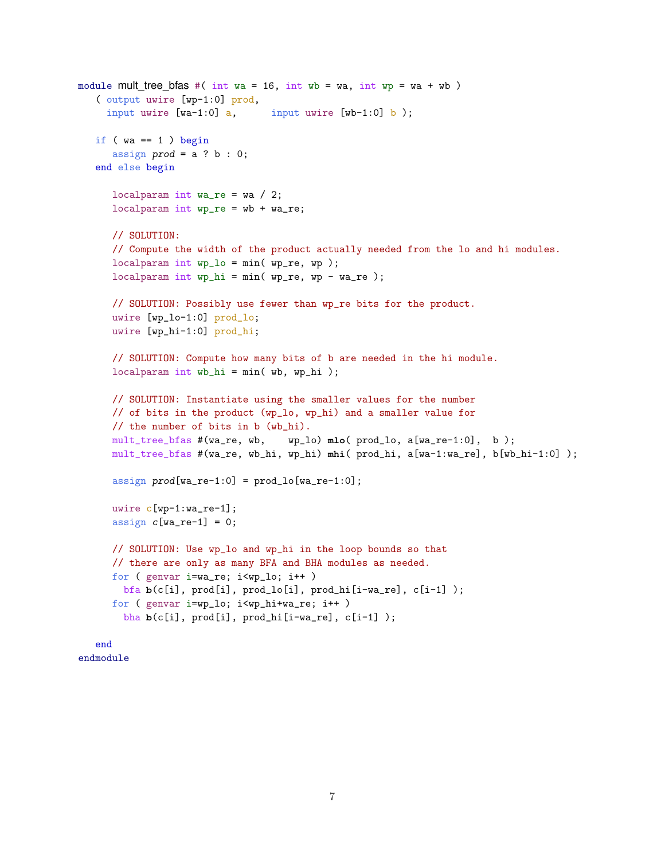```
module mult tree bfas #( int wa = 16, int wb = wa, int wp = wa + wb)
   ( output uwire [wp-1:0] prod,
     input uwire [wa-1:0] a, input uwire [wb-1:0] b );
   if (\text{wa} == 1) begin
      assign prod = a ? b : 0;end else begin
      localparam int wa_re = wa / 2;
     localparam int wp_re = wb + wa_re;
      // SOLUTION:
     // Compute the width of the product actually needed from the lo and hi modules.
     localparam int wp_lo = min( wp_re, wp );
     localparam int wp_hi = min(wp_re, wp - wa_re);
      // SOLUTION: Possibly use fewer than wp_re bits for the product.
     uwire [wp_lo-1:0] prod_lo;
     uwire [wp_hi-1:0] prod_hi;
     // SOLUTION: Compute how many bits of b are needed in the hi module.
     localparam int wb_hi = min( wb, wp_hi );
     // SOLUTION: Instantiate using the smaller values for the number
     // of bits in the product (wp_lo, wp_hi) and a smaller value for
     // the number of bits in b (wb_hi).
     mult_tree_bfas #(wa_re, wb, wp_lo) mlo( prod_lo, a[wa_re-1:0], b );
     mult_tree_bfas #(wa_re, wb_hi, wp_hi) mhi( prod_hi, a[wa-1:wa_re], b[wb_hi-1:0] );
      assign prod(wa_re-1:0] = prod\_lo[wa_re-1:0];
     uwire c[wp-1:wa_re-1];
     assign c[wa_re-1] = 0;// SOLUTION: Use wp_lo and wp_hi in the loop bounds so that
     // there are only as many BFA and BHA modules as needed.
     for ( genvar i=wa_re; i<wp_lo; i++ )
        bfa b(c[i], prod[i], prod_lo[i], prod_hi[i-wa_re], c[i-1] );
     for ( genvar i=wp_lo; i<wp_hi+wa_re; i++ )
       bha b(c[i], prod[i], prod_hi[i-wa_re], c[i-1] );
```

```
end
endmodule
```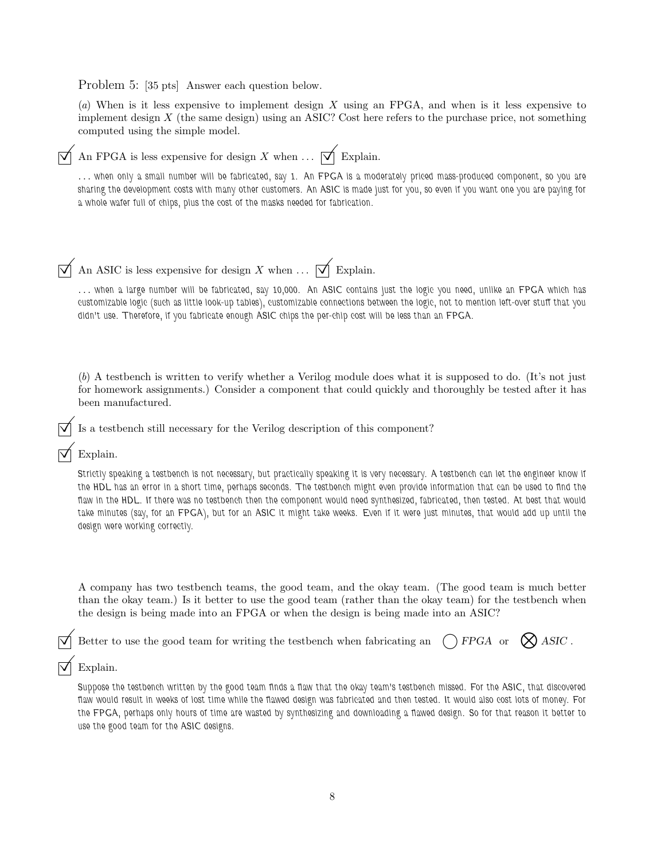Problem 5: [35 pts] Answer each question below.

(a) When is it less expensive to implement design X using an FPGA, and when is it less expensive to implement design X (the same design) using an ASIC? Cost here refers to the purchase price, not something computed using the simple model.

An FPGA is less expensive for design X when  $\ldots$   $\forall$  Explain.

... when only a small number will be fabricated, say 1. An FPGA is a moderately priced mass-produced component, so you are sharing the development costs with many other customers. An ASIC is made just for you, so even if you want one you are paying for a whole wafer full of chips, plus the cost of the masks needed for fabrication.

# $\overrightarrow{\bigtriangledown}$  An ASIC is less expensive for design X when  $\ldots$   $\overrightarrow{\bigtriangledown}$  Explain.

... when a large number will be fabricated, say 10,000. An ASIC contains just the logic you need, unlike an FPGA which has customizable logic (such as little look-up tables), customizable connections between the logic, not to mention left-over stuff that you didn't use. Therefore, if you fabricate enough ASIC chips the per-chip cost will be less than an FPGA.

(b) A testbench is written to verify whether a Verilog module does what it is supposed to do. (It's not just for homework assignments.) Consider a component that could quickly and thoroughly be tested after it has been manufactured.

Is a testbench still necessary for the Verilog description of this component?

### Explain.

Strictly speaking a testbench is not necessary, but practically speaking it is very necessary. A testbench can let the engineer know if the HDL has an error in a short time, perhaps seconds. The testbench might even provide information that can be used to find the flaw in the HDL. If there was no testbench then the component would need synthesized, fabricated, then tested. At best that would take minutes (say, for an FPGA), but for an ASIC it might take weeks. Even if it were just minutes, that would add up until the design were working correctly.

A company has two testbench teams, the good team, and the okay team. (The good team is much better than the okay team.) Is it better to use the good team (rather than the okay team) for the testbench when the design is being made into an FPGA or when the design is being made into an ASIC?

Better to use the good team for writing the testbench when fabricating an  $\bigcap$  FPGA or

| эr |  | $\bigotimes$ ASIC |  |  |
|----|--|-------------------|--|--|
|----|--|-------------------|--|--|

## Explain.

Suppose the testbench written by the good team finds a flaw that the okay team's testbench missed. For the ASIC, that discovered flaw would result in weeks of lost time while the flawed design was fabricated and then tested. It would also cost lots of money. For the FPGA, perhaps only hours of time are wasted by synthesizing and downloading a flawed design. So for that reason it better to use the good team for the ASIC designs.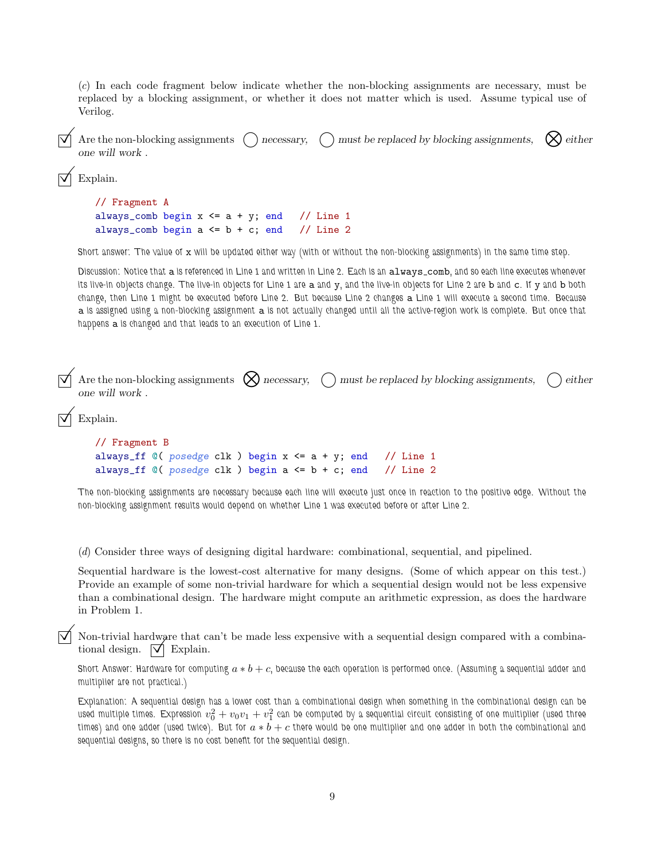(c) In each code fragment below indicate whether the non-blocking assignments are necessary, must be replaced by a blocking assignment, or whether it does not matter which is used. Assume typical use of Verilog.

```
Are the non-blocking assignments \bigcap necessary, \bigcap must be replaced by blocking assignments, \bigotimes either
one will work .
```
Explain.

```
// Fragment A
always_comb begin x \le a + y; end // Line 1
always_comb begin a \leq b + c; end // Line 2
```
Short answer: The value of x will be updated either way (with or without the non-blocking assignments) in the same time step.

Discussion: Notice that a is referenced in Line 1 and written in Line 2. Each is an always\_comb, and so each line executes whenever its live-in objects change. The live-in objects for Line 1 are a and y, and the live-in objects for Line 2 are b and c. If y and b both change, then Line 1 might be executed before Line 2. But because Line 2 changes a Line 1 will execute a second time. Because a is assigned using a non-blocking assignment a is not actually changed until all the active-region work is complete. But once that happens a is changed and that leads to an execution of Line 1.

```
Are the non-blocking assignments \bigotimes necessary, \bigcirc must be replaced by blocking assignments, \bigcirc either
 one will work .
Explain.
    // Fragment B
    always_ff @( posedge clk ) begin x \le a + y; end // Line 1
    always_ff @( posedge clk ) begin a <= b + c; end // Line 2
```
The non-blocking assignments are necessary because each line will execute just once in reaction to the positive edge. Without the non-blocking assignment results would depend on whether Line 1 was executed before or after Line 2.

(d) Consider three ways of designing digital hardware: combinational, sequential, and pipelined.

Sequential hardware is the lowest-cost alternative for many designs. (Some of which appear on this test.) Provide an example of some non-trivial hardware for which a sequential design would not be less expensive than a combinational design. The hardware might compute an arithmetic expression, as does the hardware in Problem 1.

 Non-trivial hardware that can't be made less expensive with a sequential design compared with a combinational design.  $|\mathbf{\nabla}|$  Explain.

Short Answer: Hardware for computing  $a * b + c$ , because the each operation is performed once. (Assuming a sequential adder and multiplier are not practical.)

Explanation: A sequential design has a lower cost than a combinational design when something in the combinational design can be used multiple times. Expression  $v_0^2+v_0v_1+v_1^2$  can be computed by a sequential circuit consisting of one multiplier (used three times) and one adder (used twice). But for  $a * b + c$  there would be one multiplier and one adder in both the combinational and sequential designs, so there is no cost benefit for the sequential design.